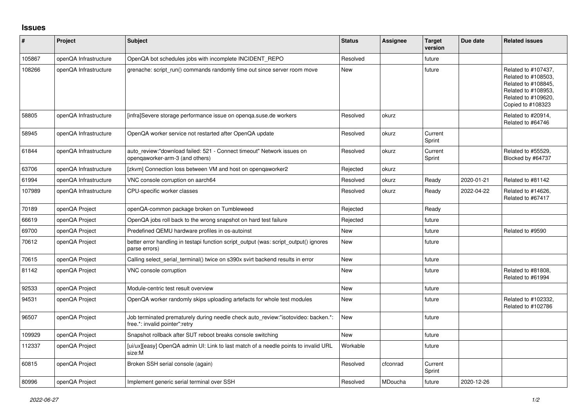## **Issues**

| #      | Project               | <b>Subject</b>                                                                                                      | <b>Status</b> | Assignee | <b>Target</b><br>version | Due date   | <b>Related issues</b>                                                                                                                |
|--------|-----------------------|---------------------------------------------------------------------------------------------------------------------|---------------|----------|--------------------------|------------|--------------------------------------------------------------------------------------------------------------------------------------|
| 105867 | openQA Infrastructure | OpenQA bot schedules jobs with incomplete INCIDENT REPO                                                             | Resolved      |          | future                   |            |                                                                                                                                      |
| 108266 | openQA Infrastructure | grenache: script run() commands randomly time out since server room move                                            | New           |          | future                   |            | Related to #107437,<br>Related to #108503,<br>Related to #108845,<br>Related to #108953,<br>Related to #109620,<br>Copied to #108323 |
| 58805  | openQA Infrastructure | [infra]Severe storage performance issue on openqa.suse.de workers                                                   | Resolved      | okurz    |                          |            | Related to #20914,<br>Related to #64746                                                                                              |
| 58945  | openQA Infrastructure | OpenQA worker service not restarted after OpenQA update                                                             | Resolved      | okurz    | Current<br>Sprint        |            |                                                                                                                                      |
| 61844  | openQA Infrastructure | auto review:"download failed: 521 - Connect timeout" Network issues on<br>opengaworker-arm-3 (and others)           | Resolved      | okurz    | Current<br>Sprint        |            | Related to #55529.<br>Blocked by #64737                                                                                              |
| 63706  | openQA Infrastructure | [zkvm] Connection loss between VM and host on openqaworker2                                                         | Rejected      | okurz    |                          |            |                                                                                                                                      |
| 61994  | openQA Infrastructure | VNC console corruption on aarch64                                                                                   | Resolved      | okurz    | Ready                    | 2020-01-21 | Related to #81142                                                                                                                    |
| 107989 | openQA Infrastructure | CPU-specific worker classes                                                                                         | Resolved      | okurz    | Ready                    | 2022-04-22 | Related to #14626,<br>Related to #67417                                                                                              |
| 70189  | openQA Project        | openQA-common package broken on Tumbleweed                                                                          | Rejected      |          | Ready                    |            |                                                                                                                                      |
| 66619  | openQA Project        | OpenQA jobs roll back to the wrong snapshot on hard test failure                                                    | Rejected      |          | future                   |            |                                                                                                                                      |
| 69700  | openQA Project        | Predefined QEMU hardware profiles in os-autoinst                                                                    | <b>New</b>    |          | future                   |            | Related to #9590                                                                                                                     |
| 70612  | openQA Project        | better error handling in testapi function script output (was: script output() ignores<br>parse errors)              | <b>New</b>    |          | future                   |            |                                                                                                                                      |
| 70615  | openQA Project        | Calling select_serial_terminal() twice on s390x svirt backend results in error                                      | <b>New</b>    |          | future                   |            |                                                                                                                                      |
| 81142  | openQA Project        | VNC console corruption                                                                                              | New           |          | future                   |            | Related to #81808,<br>Related to #61994                                                                                              |
| 92533  | openQA Project        | Module-centric test result overview                                                                                 | <b>New</b>    |          | future                   |            |                                                                                                                                      |
| 94531  | openQA Project        | OpenQA worker randomly skips uploading artefacts for whole test modules                                             | New           |          | future                   |            | Related to #102332,<br>Related to #102786                                                                                            |
| 96507  | openQA Project        | Job terminated prematurely during needle check auto review:"isotovideo: backen.*:<br>free.*: invalid pointer":retry | <b>New</b>    |          | future                   |            |                                                                                                                                      |
| 109929 | openQA Project        | Snapshot rollback after SUT reboot breaks console switching                                                         | <b>New</b>    |          | future                   |            |                                                                                                                                      |
| 112337 | openQA Project        | [ui/ux][easy] OpenQA admin UI: Link to last match of a needle points to invalid URL<br>size:M                       | Workable      |          | future                   |            |                                                                                                                                      |
| 60815  | openQA Project        | Broken SSH serial console (again)                                                                                   | Resolved      | cfconrad | Current<br>Sprint        |            |                                                                                                                                      |
| 80996  | openQA Project        | Implement generic serial terminal over SSH                                                                          | Resolved      | MDoucha  | future                   | 2020-12-26 |                                                                                                                                      |